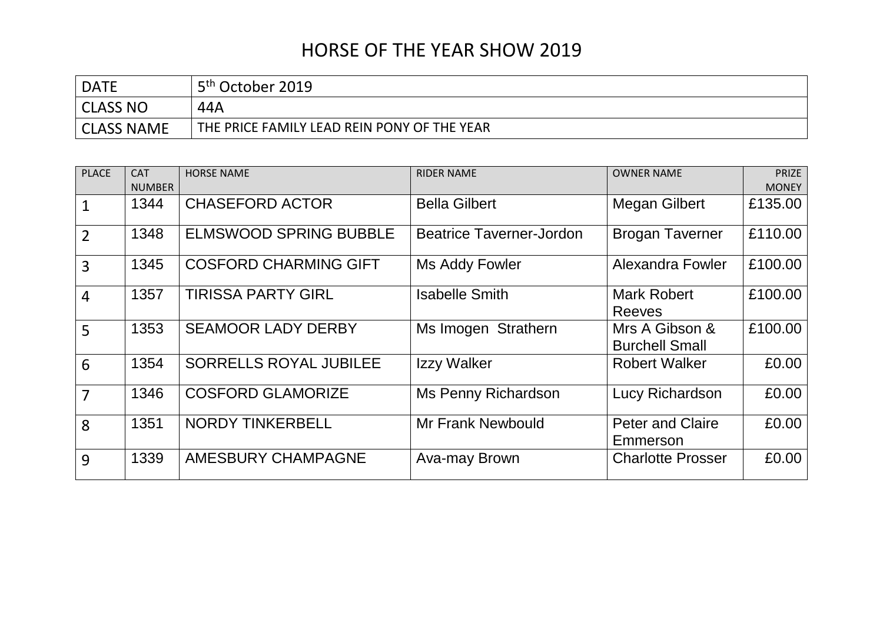## HORSE OF THE YEAR SHOW 2019

| <b>DATE</b>       | 5 <sup>th</sup> October 2019                |
|-------------------|---------------------------------------------|
| CLASS NO          | 44A                                         |
| <b>CLASS NAME</b> | THE PRICE FAMILY LEAD REIN PONY OF THE YEAR |

| <b>PLACE</b>   | <b>CAT</b>    | <b>HORSE NAME</b>             | <b>RIDER NAME</b>               | <b>OWNER NAME</b>                       | <b>PRIZE</b> |
|----------------|---------------|-------------------------------|---------------------------------|-----------------------------------------|--------------|
|                | <b>NUMBER</b> |                               |                                 |                                         | <b>MONEY</b> |
| $\mathbf{1}$   | 1344          | <b>CHASEFORD ACTOR</b>        | <b>Bella Gilbert</b>            | <b>Megan Gilbert</b>                    | £135.00      |
| $\overline{2}$ | 1348          | <b>ELMSWOOD SPRING BUBBLE</b> | <b>Beatrice Taverner-Jordon</b> | <b>Brogan Taverner</b>                  | £110.00      |
| 3              | 1345          | <b>COSFORD CHARMING GIFT</b>  | Ms Addy Fowler                  | Alexandra Fowler                        | £100.00      |
| $\overline{4}$ | 1357          | <b>TIRISSA PARTY GIRL</b>     | <b>Isabelle Smith</b>           | Mark Robert<br><b>Reeves</b>            | £100.00      |
| 5              | 1353          | <b>SEAMOOR LADY DERBY</b>     | Ms Imogen Strathern             | Mrs A Gibson &<br><b>Burchell Small</b> | £100.00      |
| 6              | 1354          | <b>SORRELLS ROYAL JUBILEE</b> | Izzy Walker                     | <b>Robert Walker</b>                    | £0.00        |
| $\overline{7}$ | 1346          | <b>COSFORD GLAMORIZE</b>      | <b>Ms Penny Richardson</b>      | Lucy Richardson                         | £0.00        |
| 8              | 1351          | <b>NORDY TINKERBELL</b>       | <b>Mr Frank Newbould</b>        | <b>Peter and Claire</b><br>Emmerson     | £0.00        |
| 9              | 1339          | <b>AMESBURY CHAMPAGNE</b>     | Ava-may Brown                   | <b>Charlotte Prosser</b>                | £0.00        |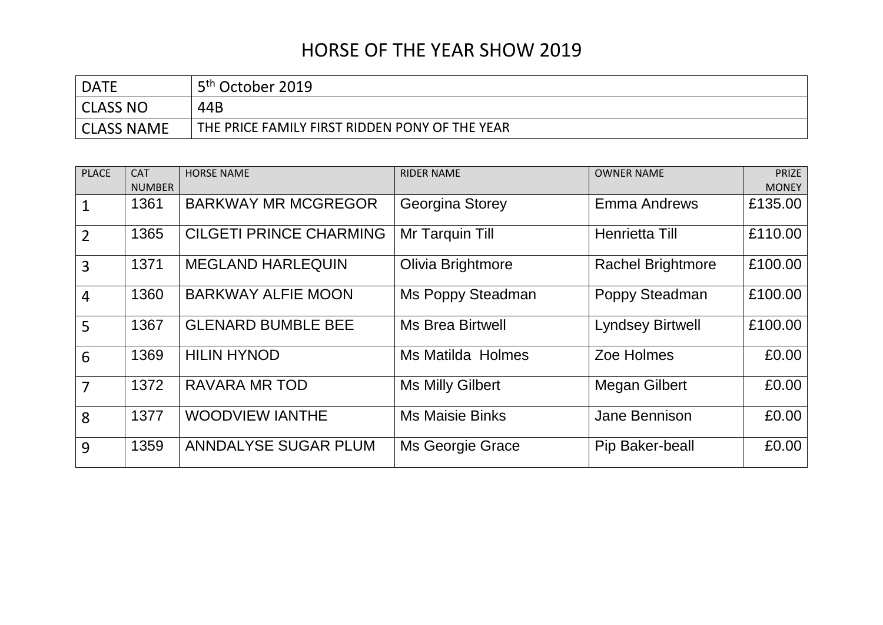## HORSE OF THE YEAR SHOW 2019

| <b>DATE</b>       | 5 <sup>th</sup> October 2019                   |
|-------------------|------------------------------------------------|
| CLASS NO          | 44B                                            |
| <b>CLASS NAME</b> | THE PRICE FAMILY FIRST RIDDEN PONY OF THE YEAR |

| <b>PLACE</b>   | <b>CAT</b><br><b>NUMBER</b> | <b>HORSE NAME</b>              | <b>RIDER NAME</b>        | <b>OWNER NAME</b>        | <b>PRIZE</b><br><b>MONEY</b> |
|----------------|-----------------------------|--------------------------------|--------------------------|--------------------------|------------------------------|
|                | 1361                        | <b>BARKWAY MR MCGREGOR</b>     | Georgina Storey          | <b>Emma Andrews</b>      | £135.00                      |
| $\overline{2}$ | 1365                        | <b>CILGETI PRINCE CHARMING</b> | Mr Tarquin Till          | Henrietta Till           | £110.00                      |
| $\overline{3}$ | 1371                        | <b>MEGLAND HARLEQUIN</b>       | Olivia Brightmore        | <b>Rachel Brightmore</b> | £100.00                      |
| $\overline{4}$ | 1360                        | <b>BARKWAY ALFIE MOON</b>      | Ms Poppy Steadman        | Poppy Steadman           | £100.00                      |
| 5              | 1367                        | <b>GLENARD BUMBLE BEE</b>      | <b>Ms Brea Birtwell</b>  | <b>Lyndsey Birtwell</b>  | £100.00                      |
| 6              | 1369                        | <b>HILIN HYNOD</b>             | <b>Ms Matilda Holmes</b> | Zoe Holmes               | £0.00                        |
| $\overline{7}$ | 1372                        | RAVARA MR TOD                  | <b>Ms Milly Gilbert</b>  | Megan Gilbert            | £0.00                        |
| 8              | 1377                        | <b>WOODVIEW IANTHE</b>         | <b>Ms Maisie Binks</b>   | Jane Bennison            | £0.00                        |
| 9              | 1359                        | ANNDALYSE SUGAR PLUM           | Ms Georgie Grace         | Pip Baker-beall          | £0.00                        |